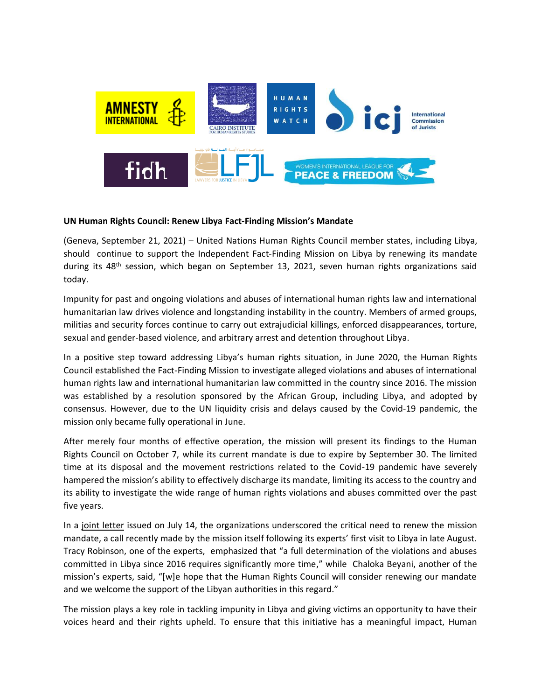

## **UN Human Rights Council: Renew Libya Fact-Finding Mission's Mandate**

(Geneva, September 21, 2021) – United Nations Human Rights Council member states, including Libya, should continue to support the Independent Fact-Finding Mission on Libya by renewing its mandate during its 48<sup>th</sup> session, which began on September 13, 2021, seven human rights organizations said today.

Impunity for past and ongoing violations and abuses of international human rights law and international humanitarian law drives violence and longstanding instability in the country. Members of armed groups, militias and security forces continue to carry out extrajudicial killings, enforced disappearances, torture, sexual and gender-based violence, and arbitrary arrest and detention throughout Libya.

In a positive step toward addressing Libya's human rights situation, in June 2020, the Human Rights Council established the Fact-Finding Mission to investigate alleged violations and abuses of international human rights law and international humanitarian law committed in the country since 2016. The mission was established by a resolution sponsored by the African Group, including Libya, and adopted by consensus. However, due to the UN liquidity crisis and delays caused by the Covid-19 pandemic, the mission only became fully operational in June.

After merely four months of effective operation, the mission will present its findings to the Human Rights Council on October 7, while its current mandate is due to expire by September 30. The limited time at its disposal and the movement restrictions related to the Covid-19 pandemic have severely hampered the mission's ability to effectively discharge its mandate, limiting its access to the country and its ability to investigate the wide range of human rights violations and abuses committed over the past five years.

In a [joint letter](https://cihrs.org/states-urged-to-ensure-renewal-of-un-fact-finding-mission-on-libya-at-48th-human-rights-council/?lang=en) issued on July 14, the organizations underscored the critical need to renew the mission mandate, a call recentl[y made](https://www.ohchr.org/EN/HRBodies/HRC/Pages/NewsDetail.aspx?NewsID=27413&LangID=E) by the mission itself following its experts' first visit to Libya in late August. Tracy Robinson, one of the experts, emphasized that "a full determination of the violations and abuses committed in Libya since 2016 requires significantly more time," while Chaloka Beyani, another of the mission's experts, said, "[w]e hope that the Human Rights Council will consider renewing our mandate and we welcome the support of the Libyan authorities in this regard."

The mission plays a key role in tackling impunity in Libya and giving victims an opportunity to have their voices heard and their rights upheld. To ensure that this initiative has a meaningful impact, Human